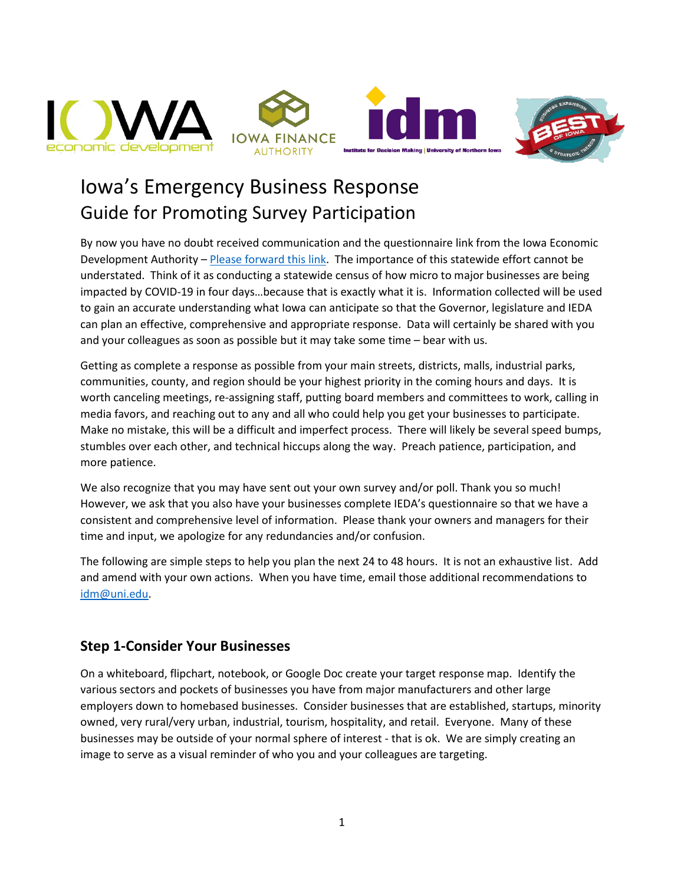

# Iowa's Emergency Business Response Guide for Promoting Survey Participation

By now you have no doubt received communication and the questionnaire link from the Iowa Economic Development Authority – [Please forward this link.](mailto:https://uni.co1.qualtrics.com/jfe/form/SV_4SK7W5qa88IkhXT) The importance of this statewide effort cannot be understated. Think of it as conducting a statewide census of how micro to major businesses are being impacted by COVID-19 in four days…because that is exactly what it is. Information collected will be used to gain an accurate understanding what Iowa can anticipate so that the Governor, legislature and IEDA can plan an effective, comprehensive and appropriate response. Data will certainly be shared with you and your colleagues as soon as possible but it may take some time – bear with us.

Getting as complete a response as possible from your main streets, districts, malls, industrial parks, communities, county, and region should be your highest priority in the coming hours and days. It is worth canceling meetings, re-assigning staff, putting board members and committees to work, calling in media favors, and reaching out to any and all who could help you get your businesses to participate. Make no mistake, this will be a difficult and imperfect process. There will likely be several speed bumps, stumbles over each other, and technical hiccups along the way. Preach patience, participation, and more patience.

We also recognize that you may have sent out your own survey and/or poll. Thank you so much! However, we ask that you also have your businesses complete IEDA's questionnaire so that we have a consistent and comprehensive level of information. Please thank your owners and managers for their time and input, we apologize for any redundancies and/or confusion.

The following are simple steps to help you plan the next 24 to 48 hours. It is not an exhaustive list. Add and amend with your own actions. When you have time, email those additional recommendations to [idm@uni.edu.](mailto:idm@uni.edu)

#### **Step 1-Consider Your Businesses**

On a whiteboard, flipchart, notebook, or Google Doc create your target response map. Identify the various sectors and pockets of businesses you have from major manufacturers and other large employers down to homebased businesses. Consider businesses that are established, startups, minority owned, very rural/very urban, industrial, tourism, hospitality, and retail. Everyone. Many of these businesses may be outside of your normal sphere of interest - that is ok. We are simply creating an image to serve as a visual reminder of who you and your colleagues are targeting.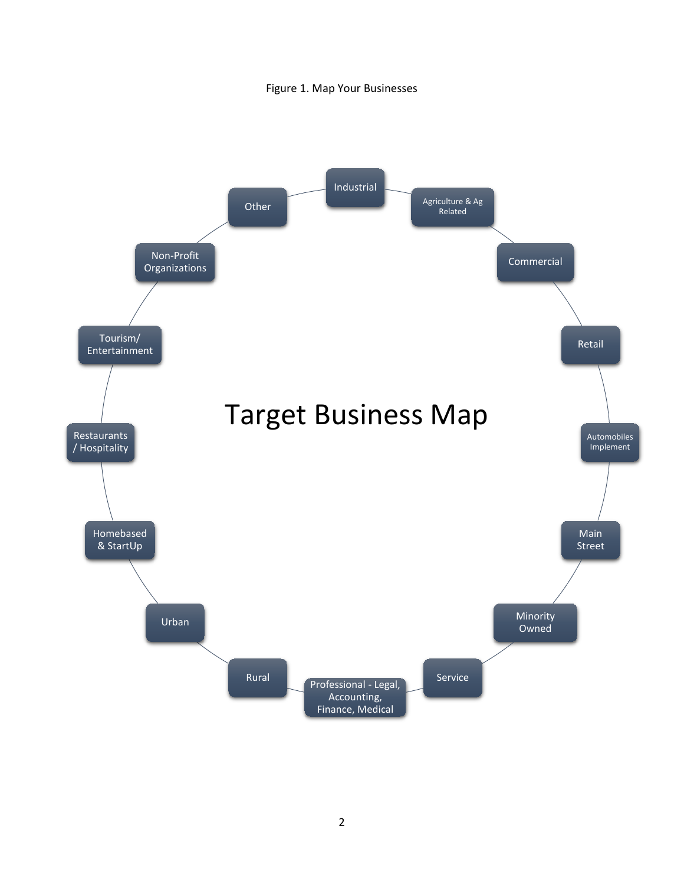

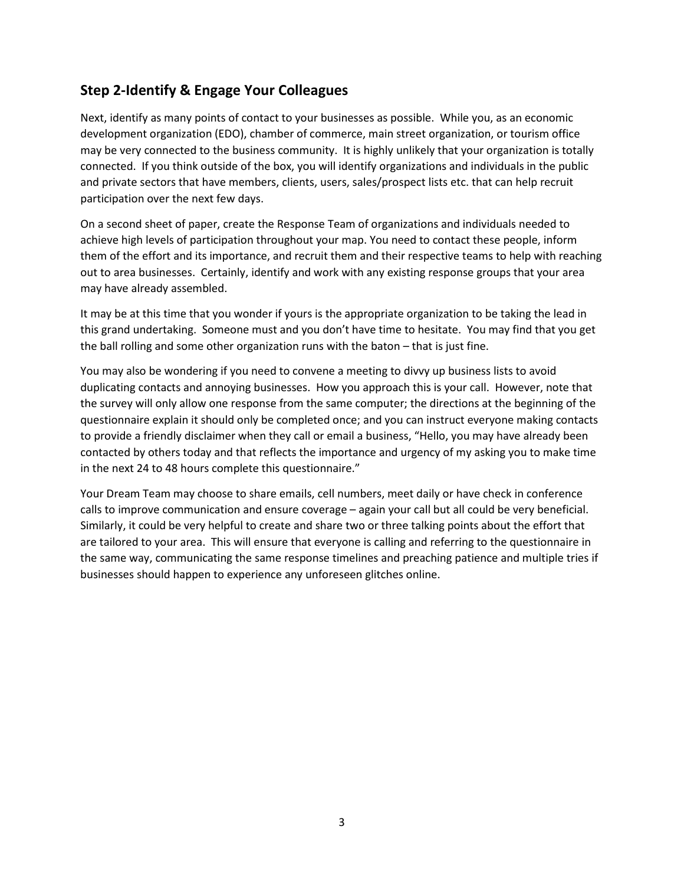#### **Step 2-Identify & Engage Your Colleagues**

Next, identify as many points of contact to your businesses as possible. While you, as an economic development organization (EDO), chamber of commerce, main street organization, or tourism office may be very connected to the business community. It is highly unlikely that your organization is totally connected. If you think outside of the box, you will identify organizations and individuals in the public and private sectors that have members, clients, users, sales/prospect lists etc. that can help recruit participation over the next few days.

On a second sheet of paper, create the Response Team of organizations and individuals needed to achieve high levels of participation throughout your map. You need to contact these people, inform them of the effort and its importance, and recruit them and their respective teams to help with reaching out to area businesses. Certainly, identify and work with any existing response groups that your area may have already assembled.

It may be at this time that you wonder if yours is the appropriate organization to be taking the lead in this grand undertaking. Someone must and you don't have time to hesitate. You may find that you get the ball rolling and some other organization runs with the baton – that is just fine.

You may also be wondering if you need to convene a meeting to divvy up business lists to avoid duplicating contacts and annoying businesses. How you approach this is your call. However, note that the survey will only allow one response from the same computer; the directions at the beginning of the questionnaire explain it should only be completed once; and you can instruct everyone making contacts to provide a friendly disclaimer when they call or email a business, "Hello, you may have already been contacted by others today and that reflects the importance and urgency of my asking you to make time in the next 24 to 48 hours complete this questionnaire."

Your Dream Team may choose to share emails, cell numbers, meet daily or have check in conference calls to improve communication and ensure coverage – again your call but all could be very beneficial. Similarly, it could be very helpful to create and share two or three talking points about the effort that are tailored to your area. This will ensure that everyone is calling and referring to the questionnaire in the same way, communicating the same response timelines and preaching patience and multiple tries if businesses should happen to experience any unforeseen glitches online.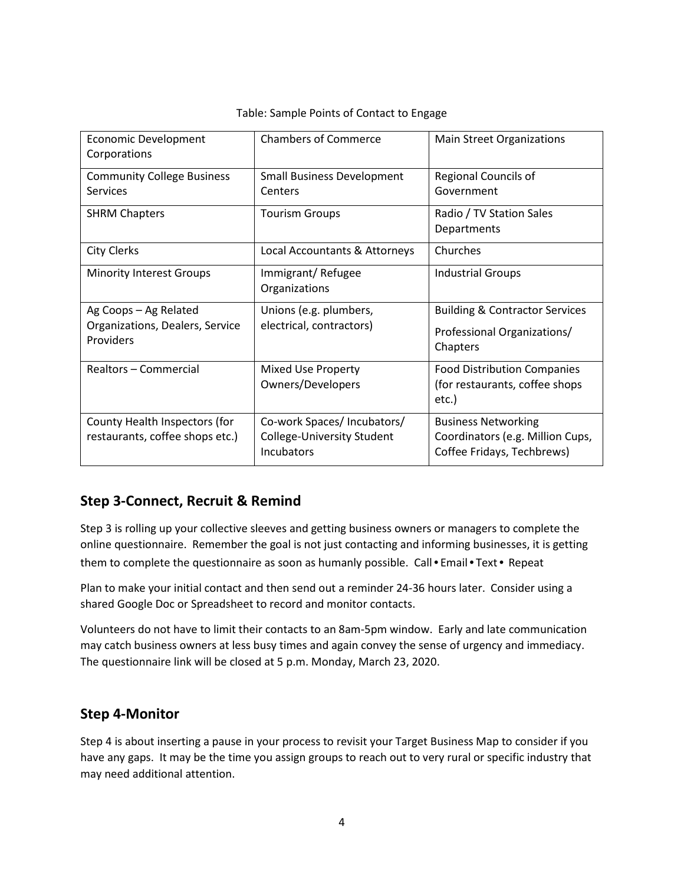| Table: Sample Points of Contact to Engage |  |  |  |
|-------------------------------------------|--|--|--|
|-------------------------------------------|--|--|--|

| <b>Economic Development</b><br>Corporations                           | <b>Chambers of Commerce</b>                                                    | <b>Main Street Organizations</b>                                                             |
|-----------------------------------------------------------------------|--------------------------------------------------------------------------------|----------------------------------------------------------------------------------------------|
| <b>Community College Business</b><br>Services                         | <b>Small Business Development</b><br>Centers                                   | Regional Councils of<br>Government                                                           |
| <b>SHRM Chapters</b>                                                  | <b>Tourism Groups</b>                                                          | Radio / TV Station Sales<br>Departments                                                      |
| <b>City Clerks</b>                                                    | Local Accountants & Attorneys                                                  | Churches                                                                                     |
| <b>Minority Interest Groups</b>                                       | Immigrant/Refugee<br>Organizations                                             | <b>Industrial Groups</b>                                                                     |
| Ag Coops - Ag Related<br>Organizations, Dealers, Service<br>Providers | Unions (e.g. plumbers,<br>electrical, contractors)                             | <b>Building &amp; Contractor Services</b><br>Professional Organizations/<br>Chapters         |
| Realtors - Commercial                                                 | <b>Mixed Use Property</b><br>Owners/Developers                                 | <b>Food Distribution Companies</b><br>(for restaurants, coffee shops<br>etc.)                |
| County Health Inspectors (for<br>restaurants, coffee shops etc.)      | Co-work Spaces/ Incubators/<br><b>College-University Student</b><br>Incubators | <b>Business Networking</b><br>Coordinators (e.g. Million Cups,<br>Coffee Fridays, Techbrews) |

## **Step 3-Connect, Recruit & Remind**

Step 3 is rolling up your collective sleeves and getting business owners or managers to complete the online questionnaire. Remember the goal is not just contacting and informing businesses, it is getting them to complete the questionnaire as soon as humanly possible. Call • Email • Text • Repeat

Plan to make your initial contact and then send out a reminder 24-36 hours later. Consider using a shared Google Doc or Spreadsheet to record and monitor contacts.

Volunteers do not have to limit their contacts to an 8am-5pm window. Early and late communication may catch business owners at less busy times and again convey the sense of urgency and immediacy. The questionnaire link will be closed at 5 p.m. Monday, March 23, 2020.

#### **Step 4-Monitor**

Step 4 is about inserting a pause in your process to revisit your Target Business Map to consider if you have any gaps. It may be the time you assign groups to reach out to very rural or specific industry that may need additional attention.